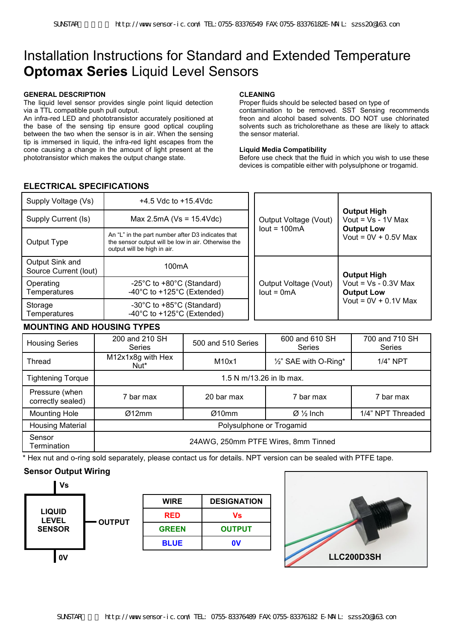# Installation Instructions for Standard and Extended Temperature **Optomax Series** Liquid Level Sensors

#### **GENERAL DESCRIPTION**

The liquid level sensor provides single point liquid detection via a TTL compatible push pull output.

An infra-red LED and phototransistor accurately positioned at the base of the sensing tip ensure good optical coupling between the two when the sensor is in air. When the sensing tip is immersed in liquid, the infra-red light escapes from the cone causing a change in the amount of light present at the phototransistor which makes the output change state.

#### **CLEANING**

Proper fluids should be selected based on type of contamination to be removed. SST Sensing recommends freon and alcohol based solvents. DO NOT use chlorinated solvents such as tricholorethane as these are likely to attack the sensor material.

#### **Liquid Media Compatibility**

Before use check that the fluid in which you wish to use these devices is compatible either with polysulphone or trogamid.

# **ELECTRICAL SPECIFICATIONS**

| Supply Voltage (Vs)                      | $+4.5$ Vdc to $+15.4$ Vdc                                                                                                               |  | <b>Output High</b><br>Vout = $Vs - 1V$ Max<br>Output Voltage (Vout)                                        |  |
|------------------------------------------|-----------------------------------------------------------------------------------------------------------------------------------------|--|------------------------------------------------------------------------------------------------------------|--|
| Supply Current (Is)                      | Max 2.5mA ( $Vs = 15.4Vdc$ )                                                                                                            |  |                                                                                                            |  |
| Output Type                              | An "L" in the part number after D3 indicates that<br>the sensor output will be low in air. Otherwise the<br>output will be high in air. |  | $lout = 100mA$<br><b>Output Low</b><br>Vout = $0V + 0.5V$ Max                                              |  |
| Output Sink and<br>Source Current (lout) | 100 <sub>m</sub> A                                                                                                                      |  | <b>Output High</b><br>Vout = $Vs - 0.3V$ Max<br>Output Voltage (Vout)<br>$lout = 0mA$<br><b>Output Low</b> |  |
| Operating<br>Temperatures                | -25 $\degree$ C to +80 $\degree$ C (Standard)<br>-40 $\degree$ C to +125 $\degree$ C (Extended)                                         |  |                                                                                                            |  |
| Storage<br>Temperatures                  | -30 $\degree$ C to +85 $\degree$ C (Standard)<br>-40 $\degree$ C to +125 $\degree$ C (Extended)                                         |  | Vout = $0V + 0.1V$ Max                                                                                     |  |

# **MOUNTING AND HOUSING TYPES**

| <b>Housing Series</b>               | 200 and 210 SH<br><b>Series</b>       | 500 and 510 Series                  | 600 and 610 SH<br>Series       | 700 and 710 SH<br>Series |  |
|-------------------------------------|---------------------------------------|-------------------------------------|--------------------------------|--------------------------|--|
| Thread                              | M12x1x8g with Hex<br>Nut <sup>*</sup> | M10x1                               | 1/2" SAE with O-Ring*          | $1/4$ " NPT              |  |
| <b>Tightening Torque</b>            | 1.5 N m/13.26 in lb max.              |                                     |                                |                          |  |
| Pressure (when<br>correctly sealed) | 7 bar max                             | 20 bar max                          | 7 bar max                      | 7 bar max                |  |
| <b>Mounting Hole</b>                | Ø12mm                                 | Ø10mm                               | $\varnothing \frac{1}{2}$ Inch | 1/4" NPT Threaded        |  |
| <b>Housing Material</b>             | Polysulphone or Trogamid              |                                     |                                |                          |  |
| Sensor<br>Termination               |                                       | 24AWG, 250mm PTFE Wires, 8mm Tinned |                                |                          |  |

\* Hex nut and o-ring sold separately, please contact us for details. NPT version can be sealed with PTFE tape.

# **Sensor Output Wiring**



| <b>WIRE</b>  | <b>DESIGNATION</b> |
|--------------|--------------------|
| <b>RED</b>   | Vs                 |
| <b>GREEN</b> | <b>OUTPUT</b>      |
| <b>BLUE</b>  | $\mathbf{0}$       |

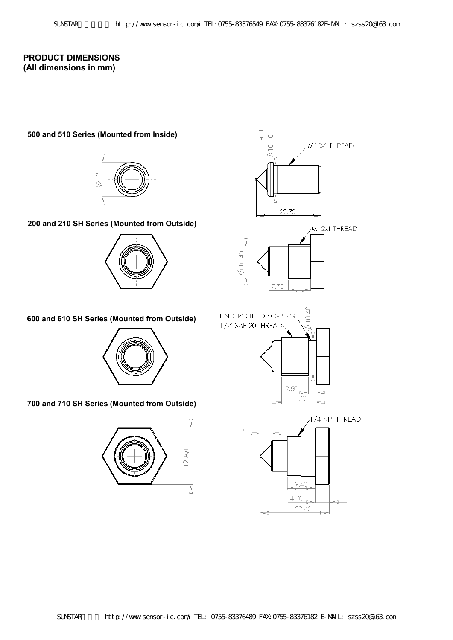# **PRODUCT DIMENSIONS (All dimensions in mm)**

### **500 and 510 Series (Mounted from Inside)**



**200 and 210 SH Series (Mounted from Outside)** 





# **600 and 610 SH Series (Mounted from Outside)**



## **700 and 710 SH Series (Mounted from Outside)**